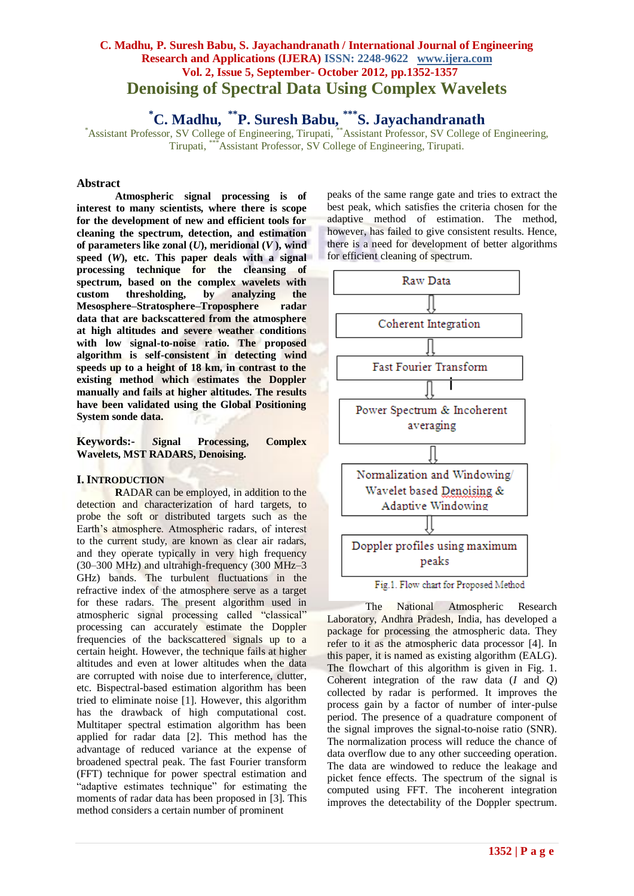# **C. Madhu, P. Suresh Babu, S. Jayachandranath / International Journal of Engineering Research and Applications (IJERA) ISSN: 2248-9622 www.ijera.com Vol. 2, Issue 5, September- October 2012, pp.1352-1357 Denoising of Spectral Data Using Complex Wavelets**

**\*C. Madhu, \*\*P. Suresh Babu, \*\*\*S. Jayachandranath**

\*Assistant Professor, SV College of Engineering, Tirupati, \*\*Assistant Professor, SV College of Engineering, Tirupati, \*\*\*Assistant Professor, SV College of Engineering, Tirupati.

## **Abstract**

**Atmospheric signal processing is of interest to many scientists, where there is scope for the development of new and efficient tools for cleaning the spectrum, detection, and estimation of parameters like zonal (***U***), meridional (***V* **), wind speed (***W***), etc. This paper deals with a signal processing technique for the cleansing of spectrum, based on the complex wavelets with custom thresholding, by analyzing the Mesosphere–Stratosphere–Troposphere radar data that are backscattered from the atmosphere at high altitudes and severe weather conditions with low signal-to-noise ratio. The proposed algorithm is self-consistent in detecting wind speeds up to a height of 18 km, in contrast to the existing method which estimates the Doppler manually and fails at higher altitudes. The results have been validated using the Global Positioning System sonde data.**

**Keywords:-** *S***ignal Processing, Complex Wavelets, MST RADARS, Denoising.**

#### **I. INTRODUCTION**

**R**ADAR can be employed, in addition to the detection and characterization of hard targets, to probe the soft or distributed targets such as the Earth's atmosphere. Atmospheric radars, of interest to the current study, are known as clear air radars, and they operate typically in very high frequency (30–300 MHz) and ultrahigh-frequency (300 MHz–3 GHz) bands. The turbulent fluctuations in the refractive index of the atmosphere serve as a target for these radars. The present algorithm used in atmospheric signal processing called "classical" processing can accurately estimate the Doppler frequencies of the backscattered signals up to a certain height. However, the technique fails at higher altitudes and even at lower altitudes when the data are corrupted with noise due to interference, clutter, etc. Bispectral-based estimation algorithm has been tried to eliminate noise [1]. However, this algorithm has the drawback of high computational cost. Multitaper spectral estimation algorithm has been applied for radar data [2]. This method has the advantage of reduced variance at the expense of broadened spectral peak. The fast Fourier transform (FFT) technique for power spectral estimation and "adaptive estimates technique" for estimating the moments of radar data has been proposed in [3]. This method considers a certain number of prominent

peaks of the same range gate and tries to extract the best peak, which satisfies the criteria chosen for the adaptive method of estimation. The method, however, has failed to give consistent results. Hence, there is a need for development of better algorithms for efficient cleaning of spectrum.



Fig.1. Flow chart for Proposed Method

The National Atmospheric Research Laboratory, Andhra Pradesh, India, has developed a package for processing the atmospheric data. They refer to it as the atmospheric data processor [4]. In this paper, it is named as existing algorithm (EALG). The flowchart of this algorithm is given in Fig. 1. Coherent integration of the raw data (*I* and *Q*) collected by radar is performed. It improves the process gain by a factor of number of inter-pulse period. The presence of a quadrature component of the signal improves the signal-to-noise ratio (SNR). The normalization process will reduce the chance of data overflow due to any other succeeding operation. The data are windowed to reduce the leakage and picket fence effects. The spectrum of the signal is computed using FFT. The incoherent integration improves the detectability of the Doppler spectrum.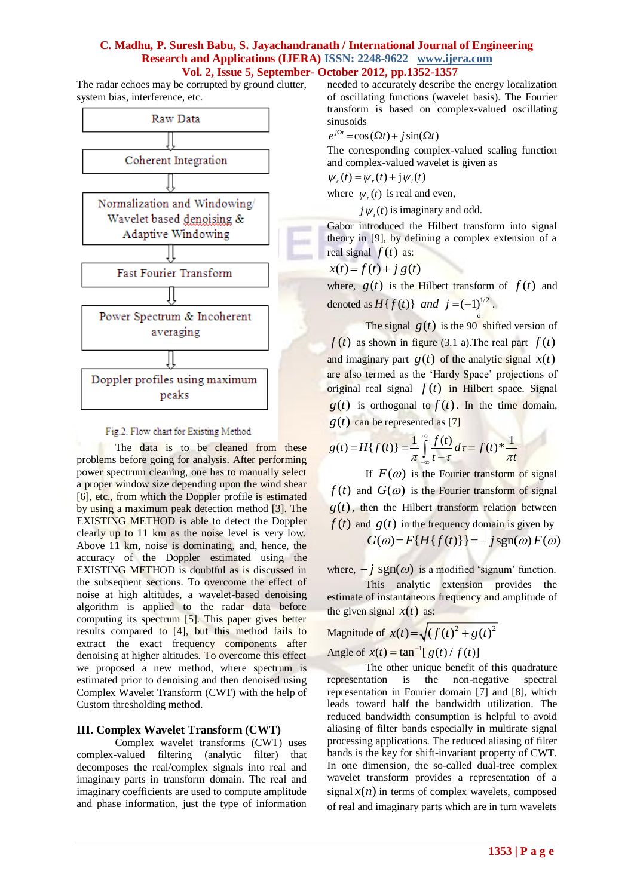The radar echoes may be corrupted by ground clutter, system bias, interference, etc.



### Fig.2. Flow chart for Existing Method

The data is to be cleaned from these problems before going for analysis. After performing power spectrum cleaning, one has to manually select a proper window size depending upon the wind shear [6], etc., from which the Doppler profile is estimated by using a maximum peak detection method [3]. The EXISTING METHOD is able to detect the Doppler clearly up to 11 km as the noise level is very low. Above 11 km, noise is dominating, and, hence, the accuracy of the Doppler estimated using the EXISTING METHOD is doubtful as is discussed in the subsequent sections. To overcome the effect of noise at high altitudes, a wavelet-based denoising algorithm is applied to the radar data before computing its spectrum [5]. This paper gives better results compared to [4], but this method fails to extract the exact frequency components after denoising at higher altitudes. To overcome this effect we proposed a new method, where spectrum is estimated prior to denoising and then denoised using Complex Wavelet Transform (CWT) with the help of Custom thresholding method.

## **III. Complex Wavelet Transform (CWT)**

Complex wavelet transforms (CWT) uses complex-valued filtering (analytic filter) that decomposes the real/complex signals into real and imaginary parts in transform domain. The real and imaginary coefficients are used to compute amplitude and phase information, just the type of information

needed to accurately describe the energy localization of oscillating functions (wavelet basis). The Fourier transform is based on complex-valued oscillating sinusoids

$$
e^{j\Omega t} = \cos(\Omega t) + j\sin(\Omega t)
$$

The corresponding complex-valued scaling function and complex-valued wavelet is given as

$$
\psi_c(t) = \psi_r(t) + j\psi_i(t)
$$

where  $\psi_r(t)$  is real and even,

 $j \psi_i(t)$  is imaginary and odd.

Gabor introduced the Hilbert transform into signal theory in [9], by defining a complex extension of a real signal  $f(t)$  as:

$$
x(t) = f(t) + j g(t)
$$

where,  $g(t)$  is the Hilbert transform of  $f(t)$  and denoted as  $H\{f(t)\}\$  and  $j = (-1)^{1/2}$ .

The signal  $g(t)$  is the 90<sup>°</sup> shifted version of  $f(t)$  as shown in figure (3.1 a). The real part  $f(t)$ and imaginary part  $g(t)$  of the analytic signal  $x(t)$ are also termed as the 'Hardy Space' projections of original real signal  $f(t)$  in Hilbert space. Signal  $g(t)$  is orthogonal to  $f(t)$ . In the time domain,

$$
g(t) \text{ can be represented as [7]}
$$

$$
g(t) = H\{f(t)\} = \frac{1}{\pi} \int_{-\infty}^{\infty} \frac{f(t)}{t - \tau} d\tau = f(t)^* \frac{1}{\pi t}
$$

If  $F(\omega)$  is the Fourier transform of signal  $f(t)$  and  $G(\omega)$  is the Fourier transform of signal  $g(t)$ , then the Hilbert transform relation between  $f(t)$  and  $g(t)$  in the frequency domain is given by

 $G(\omega) = F\{H\{f(t)\}\} = -j \text{sgn}(\omega) F(\omega)$ 

where,  $-j$  sgn( $\omega$ ) is a modified 'signum' function.

This analytic extension provides the estimate of instantaneous frequency and amplitude of the given signal  $x(t)$  as:

Magnitude of  $x(t) = \sqrt{(f(t)^2 + g(t)^2)}$ Angle of  $x(t) = \tan^{-1} [g(t) / f(t)]$ 

The other unique benefit of this quadrature representation is the non-negative spectral representation in Fourier domain [7] and [8], which leads toward half the bandwidth utilization. The reduced bandwidth consumption is helpful to avoid aliasing of filter bands especially in multirate signal processing applications. The reduced aliasing of filter bands is the key for shift-invariant property of CWT. In one dimension, the so-called dual-tree complex wavelet transform provides a representation of a signal  $x(n)$  in terms of complex wavelets, composed of real and imaginary parts which are in turn wavelets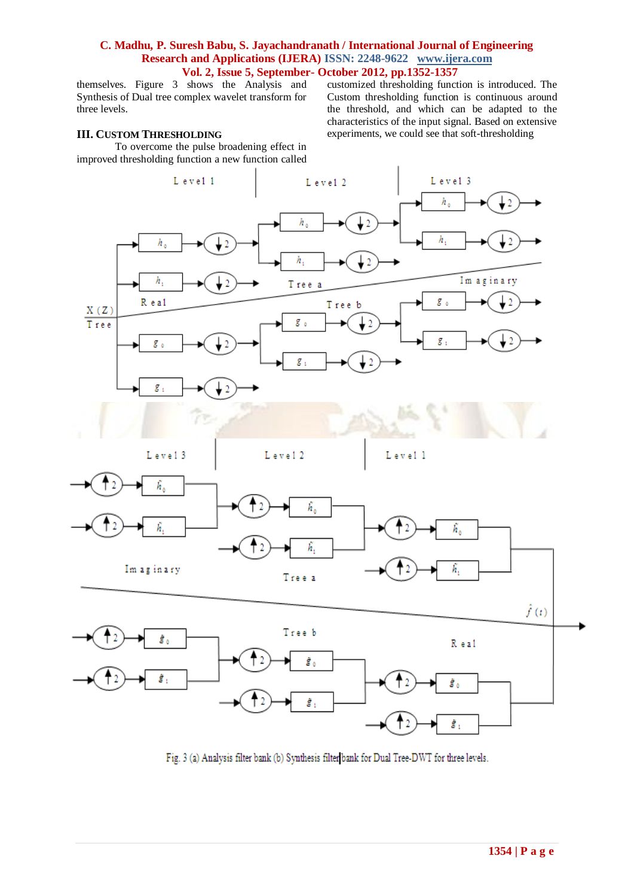themselves. Figure 3 shows the Analysis and Synthesis of Dual tree complex wavelet transform for three levels.

## **III. CUSTOM THRESHOLDING**

To overcome the pulse broadening effect in improved thresholding function a new function called

customized thresholding function is introduced. The Custom thresholding function is continuous around the threshold, and which can be adapted to the characteristics of the input signal. Based on extensive experiments, we could see that soft-thresholding



Fig. 3 (a) Analysis filter bank (b) Synthesis filter bank for Dual Tree-DWT for three levels.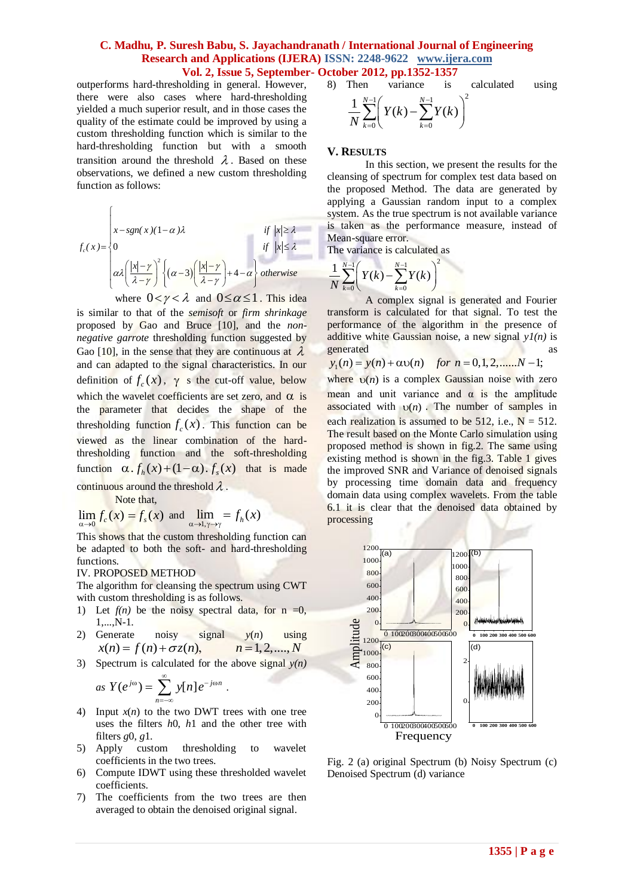outperforms hard-thresholding in general. However, there were also cases where hard-thresholding yielded a much superior result, and in those cases the quality of the estimate could be improved by using a custom thresholding function which is similar to the hard-thresholding function but with a smooth transition around the threshold  $\lambda$ . Based on these observations, we defined a new custom thresholding function as follows:

$$
f_c(x) = \begin{cases} x - sgn(x)(1-\alpha)\lambda & \text{if } |x| \ge \lambda \\ 0 & \text{if } |x| \le \lambda \\ \alpha \lambda \left(\frac{|x| - \gamma}{\lambda - \gamma}\right)^2 \left\{(\alpha - 3)\left(\frac{|x| - \gamma}{\lambda - \gamma}\right) + 4 - \alpha\right\} & \text{otherwise} \\ \text{where } 0 < \gamma < \lambda \text{ and } 0 \le \alpha \le 1 \text{ . This idea} \end{cases}
$$

is similar to that of the *semisoft* or *firm shrinkage*  proposed by Gao and Bruce [10], and the *nonnegative garrote* thresholding function suggested by Gao [10], in the sense that they are continuous at  $\lambda$ and can adapted to the signal characteristics. In our definition of  $f_c(x)$ ,  $\gamma$  s the cut-off value, below which the wavelet coefficients are set zero, and  $\alpha$  is the parameter that decides the shape of the thresholding function  $f_c(x)$ . This function can be viewed as the linear combination of the hardthresholding function and the soft-thresholding function  $\alpha$ .  $f_h(x) + (1-\alpha)$ .  $f_s(x)$  that is made continuous around the threshold  $\lambda$ .

Note that,

 $\sqrt{ }$ 

$$
\lim_{\alpha \to 0} f_c(x) = f_s(x)
$$
 and 
$$
\lim_{\alpha \to 1, \gamma \to \gamma} f_h(x)
$$

This shows that the custom thresholding function can be adapted to both the soft- and hard-thresholding functions.

#### IV. PROPOSED METHOD

The algorithm for cleansing the spectrum using CWT with custom thresholding is as follows.

- 1) Let  $f(n)$  be the noisy spectral data, for  $n = 0$ , 1,...,N-1.
- 2) Generate noisy signal *y*(*n*) using  $x(n) = f(n) + \sigma z(n),$   $n = 1,2,...,N$
- 3) Spectrum is calculated for the above signal *y(n)*

as 
$$
Y(e^{j\omega}) = \sum_{n=-\infty}^{\infty} y[n] e^{-j\omega n}
$$
.

- 4) Input  $x(n)$  to the two DWT trees with one tree uses the filters *h*0, *h*1 and the other tree with filters *g*0, *g*1.
- 5) Apply custom thresholding to wavelet coefficients in the two trees.
- 6) Compute IDWT using these thresholded wavelet coefficients.
- 7) The coefficients from the two trees are then averaged to obtain the denoised original signal.

8) Then variance is calculated using\n
$$
\frac{1}{N} \sum_{k=0}^{N-1} \left( Y(k) - \sum_{k=0}^{N-1} Y(k) \right)^2
$$

#### **V. RESULTS**

In this section, we present the results for the cleansing of spectrum for complex test data based on the proposed Method. The data are generated by applying a Gaussian random input to a complex system. As the true spectrum is not available variance is taken as the performance measure, instead of Mean-square error.

The variance is calculated as

$$
\frac{1}{N}\sum_{k=0}^{N-1}\left(Y(k)-\sum_{k=0}^{N-1}Y(k)\right)^2
$$

A complex signal is generated and Fourier transform is calculated for that signal. To test the performance of the algorithm in the presence of additive white Gaussian noise, a new signal  $yI(n)$  is generated as  $y_1(n) = y(n) + \alpha v(n)$  for  $n = 0,1,2,..., N-1$ ; generated as as

$$
y_1(n) = y(n) + \alpha v(n)
$$
 for  $n = 0, 1, 2, \dots, N-1$ ;

where  $v(n)$  is a complex Gaussian noise with zero mean and unit variance and  $\alpha$  is the amplitude associated with  $v(n)$ . The number of samples in each realization is assumed to be 512, i.e.,  $N = 512$ . The result based on the Monte Carlo simulation using proposed method is shown in fig.2. The same using existing method is shown in the fig.3. Table 1 gives the improved SNR and Variance of denoised signals by processing time domain data and frequency domain data using complex wavelets. From the table 6.1 it is clear that the denoised data obtained by processing



Fig. 2 (a) original Spectrum (b) Noisy Spectrum (c) Denoised Spectrum (d) variance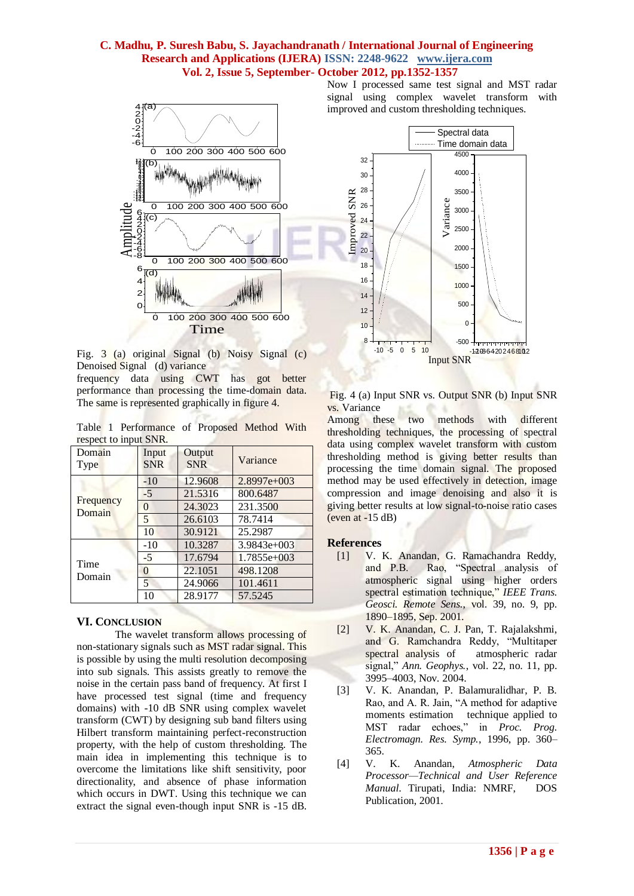

Fig. 3 (a) original Signal (b) Noisy Signal (c) Denoised Signal (d) variance

frequency data using CWT has got better performance than processing the time-domain data. The same is represented graphically in figure 4.

Table 1 Performance of Proposed Method With respect to input SNR

| respect to input start.<br>Domain<br><b>Type</b> | Input<br><b>SNR</b> | Output<br><b>SNR</b> | Variance      |
|--------------------------------------------------|---------------------|----------------------|---------------|
| Frequency<br>Domain                              | $-10$               | 12.9608              | 2.8997e+003   |
|                                                  | $-5$                | 21.5316              | 800.6487      |
|                                                  | 0                   | 24.3023              | 231.3500      |
|                                                  | 5                   | 26.6103              | 78.7414       |
|                                                  | 10                  | 30.9121              | 25.2987       |
| Time<br>Domain                                   | $-10$               | 10.3287              | $3.9843e+003$ |
|                                                  | $-5$                | 17.6794              | $1.7855e+003$ |
|                                                  | 0                   | 22.1051              | 498.1208      |
|                                                  | 5                   | 24.9066              | 101.4611      |
|                                                  | 10                  | 28.9177              | 57.5245       |

## **VI. CONCLUSION**

The wavelet transform allows processing of non-stationary signals such as MST radar signal. This is possible by using the multi resolution decomposing into sub signals. This assists greatly to remove the noise in the certain pass band of frequency. At first I have processed test signal (time and frequency domains) with -10 dB SNR using complex wavelet transform (CWT) by designing sub band filters using Hilbert transform maintaining perfect-reconstruction property, with the help of custom thresholding. The main idea in implementing this technique is to overcome the limitations like shift sensitivity, poor directionality, and absence of phase information which occurs in DWT. Using this technique we can extract the signal even-though input SNR is -15 dB.

Now I processed same test signal and MST radar signal using complex wavelet transform with improved and custom thresholding techniques.



Fig. 4 (a) Input SNR vs. Output SNR (b) Input SNR vs. Variance

Among these two methods with different thresholding techniques, the processing of spectral data using complex wavelet transform with custom thresholding method is giving better results than processing the time domain signal. The proposed method may be used effectively in detection, image compression and image denoising and also it is giving better results at low signal-to-noise ratio cases (even at -15 dB)

## **References**

- [1] V. K. Anandan, G. Ramachandra Reddy, and P.B. Rao, "Spectral analysis of atmospheric signal using higher orders spectral estimation technique," *IEEE Trans. Geosci. Remote Sens.*, vol. 39, no. 9, pp. 1890–1895, Sep. 2001.
- [2] V. K. Anandan, C. J. Pan, T. Rajalakshmi, and G. Ramchandra Reddy, "Multitaper spectral analysis of atmospheric radar signal," *Ann. Geophys.*, vol. 22, no. 11, pp. 3995–4003, Nov. 2004.
- [3] V. K. Anandan, P. Balamuralidhar, P. B. Rao, and A. R. Jain, "A method for adaptive moments estimation technique applied to MST radar echoes," in *Proc. Prog. Electromagn. Res. Symp.*, 1996, pp. 360– 365.
- [4] V. K. Anandan, *Atmospheric Data Processor—Technical and User Reference Manual*. Tirupati, India: NMRF, DOS Publication, 2001.